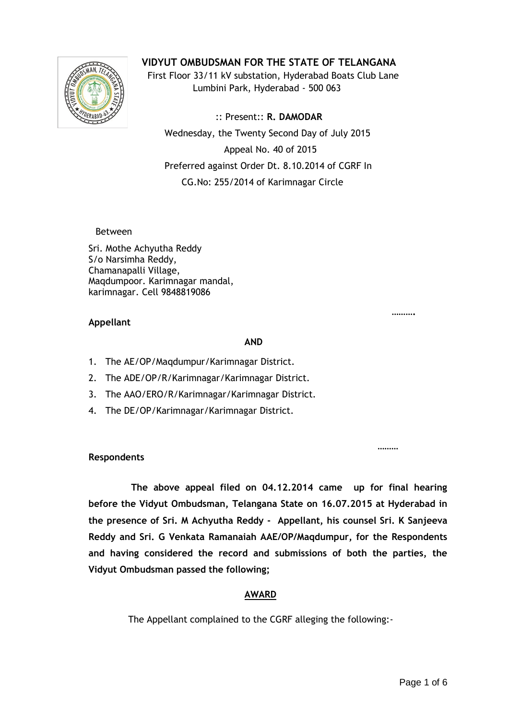

**VIDYUT OMBUDSMAN FOR THE STATE OF TELANGANA**

 First Floor 33/11 kV substation, Hyderabad Boats Club Lane Lumbini Park, Hyderabad - 500 063

 :: Present:: **R. DAMODAR** Wednesday, the Twenty Second Day of July 2015 Appeal No. 40 of 2015 Preferred against Order Dt. 8.10.2014 of CGRF In CG.No: 255/2014 of Karimnagar Circle

Between

Sri. Mothe Achyutha Reddy S/o Narsimha Reddy, Chamanapalli Village, Maqdumpoor. Karimnagar mandal, karimnagar. Cell 9848819086

#### **………. Appellant**

#### **AND**

- 1. The AE/OP/Maqdumpur/Karimnagar District.
- 2. The ADE/OP/R/Karimnagar/Karimnagar District.
- 3. The AAO/ERO/R/Karimnagar/Karimnagar District.
- 4. The DE/OP/Karimnagar/Karimnagar District.

#### ,我们的人们都会不是一个人的人,我们的人们都会不是一个人的人的人,我们的人们都会不是一个人的人的人,我们的人们都会不是一个人的人的人,我们的人们的人们的人<mark>……</mark> **Respondents**

 **The above appeal filed on 04.12.2014 came up for final hearing before the Vidyut Ombudsman, Telangana State on 16.07.2015 at Hyderabad in the presence of Sri. M Achyutha Reddy - Appellant, his counsel Sri. K Sanjeeva Reddy and Sri. G Venkata Ramanaiah AAE/OP/Maqdumpur, for the Respondents and having considered the record and submissions of both the parties, the Vidyut Ombudsman passed the following;**

# **AWARD**

The Appellant complained to the CGRF alleging the following:-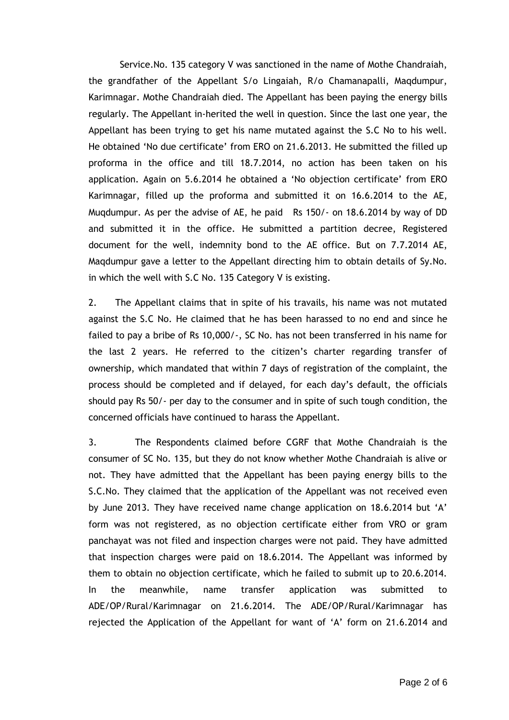Service.No. 135 category V was sanctioned in the name of Mothe Chandraiah, the grandfather of the Appellant S/o Lingaiah, R/o Chamanapalli, Maqdumpur, Karimnagar. Mothe Chandraiah died. The Appellant has been paying the energy bills regularly. The Appellant in-herited the well in question. Since the last one year, the Appellant has been trying to get his name mutated against the S.C No to his well. He obtained 'No due certificate' from ERO on 21.6.2013. He submitted the filled up proforma in the office and till 18.7.2014, no action has been taken on his application. Again on 5.6.2014 he obtained a 'No objection certificate' from ERO Karimnagar, filled up the proforma and submitted it on 16.6.2014 to the AE, Muqdumpur. As per the advise of AE, he paid Rs 150/- on 18.6.2014 by way of DD and submitted it in the office. He submitted a partition decree, Registered document for the well, indemnity bond to the AE office. But on 7.7.2014 AE, Maqdumpur gave a letter to the Appellant directing him to obtain details of Sy.No. in which the well with S.C No. 135 Category V is existing.

2. The Appellant claims that in spite of his travails, his name was not mutated against the S.C No. He claimed that he has been harassed to no end and since he failed to pay a bribe of Rs 10,000/-, SC No. has not been transferred in his name for the last 2 years. He referred to the citizen's charter regarding transfer of ownership, which mandated that within 7 days of registration of the complaint, the process should be completed and if delayed, for each day's default, the officials should pay Rs 50/- per day to the consumer and in spite of such tough condition, the concerned officials have continued to harass the Appellant.

3. The Respondents claimed before CGRF that Mothe Chandraiah is the consumer of SC No. 135, but they do not know whether Mothe Chandraiah is alive or not. They have admitted that the Appellant has been paying energy bills to the S.C.No. They claimed that the application of the Appellant was not received even by June 2013. They have received name change application on 18.6.2014 but 'A' form was not registered, as no objection certificate either from VRO or gram panchayat was not filed and inspection charges were not paid. They have admitted that inspection charges were paid on 18.6.2014. The Appellant was informed by them to obtain no objection certificate, which he failed to submit up to 20.6.2014. In the meanwhile, name transfer application was submitted to ADE/OP/Rural/Karimnagar on 21.6.2014. The ADE/OP/Rural/Karimnagar has rejected the Application of the Appellant for want of 'A' form on 21.6.2014 and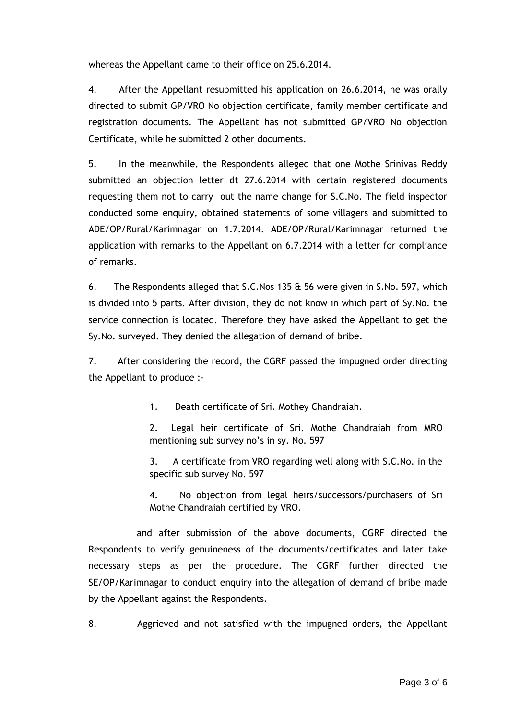whereas the Appellant came to their office on 25.6.2014.

4. After the Appellant resubmitted his application on 26.6.2014, he was orally directed to submit GP/VRO No objection certificate, family member certificate and registration documents. The Appellant has not submitted GP/VRO No objection Certificate, while he submitted 2 other documents.

5. In the meanwhile, the Respondents alleged that one Mothe Srinivas Reddy submitted an objection letter dt 27.6.2014 with certain registered documents requesting them not to carry out the name change for S.C.No. The field inspector conducted some enquiry, obtained statements of some villagers and submitted to ADE/OP/Rural/Karimnagar on 1.7.2014. ADE/OP/Rural/Karimnagar returned the application with remarks to the Appellant on 6.7.2014 with a letter for compliance of remarks.

6. The Respondents alleged that S.C.Nos 135 & 56 were given in S.No. 597, which is divided into 5 parts. After division, they do not know in which part of Sy.No. the service connection is located. Therefore they have asked the Appellant to get the Sy.No. surveyed. They denied the allegation of demand of bribe.

7. After considering the record, the CGRF passed the impugned order directing the Appellant to produce :-

1. Death certificate of Sri. Mothey Chandraiah.

2. Legal heir certificate of Sri. Mothe Chandraiah from MRO mentioning sub survey no's in sy. No. 597

3. A certificate from VRO regarding well along with S.C.No. in the specific sub survey No. 597

4. No objection from legal heirs/successors/purchasers of Sri Mothe Chandraiah certified by VRO.

 and after submission of the above documents, CGRF directed the Respondents to verify genuineness of the documents/certificates and later take necessary steps as per the procedure. The CGRF further directed the SE/OP/Karimnagar to conduct enquiry into the allegation of demand of bribe made by the Appellant against the Respondents.

8. Aggrieved and not satisfied with the impugned orders, the Appellant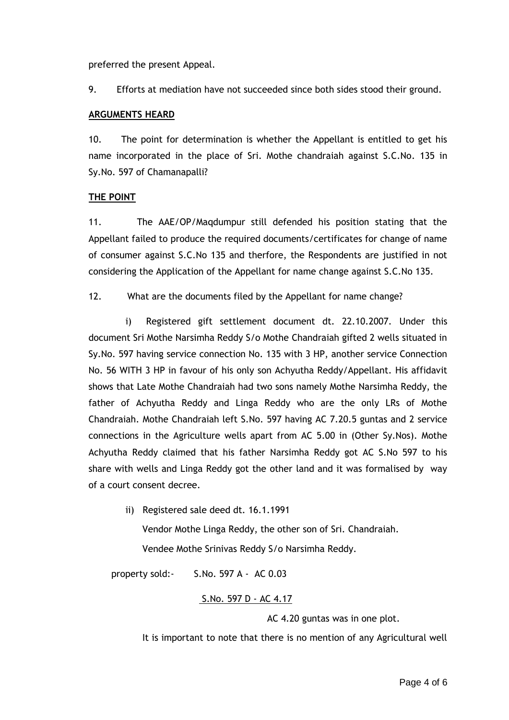preferred the present Appeal.

9. Efforts at mediation have not succeeded since both sides stood their ground.

#### **ARGUMENTS HEARD**

10. The point for determination is whether the Appellant is entitled to get his name incorporated in the place of Sri. Mothe chandraiah against S.C.No. 135 in Sy.No. 597 of Chamanapalli?

## **THE POINT**

11. The AAE/OP/Maqdumpur still defended his position stating that the Appellant failed to produce the required documents/certificates for change of name of consumer against S.C.No 135 and therfore, the Respondents are justified in not considering the Application of the Appellant for name change against S.C.No 135.

12. What are the documents filed by the Appellant for name change?

 i) Registered gift settlement document dt. 22.10.2007. Under this document Sri Mothe Narsimha Reddy S/o Mothe Chandraiah gifted 2 wells situated in Sy.No. 597 having service connection No. 135 with 3 HP, another service Connection No. 56 WITH 3 HP in favour of his only son Achyutha Reddy/Appellant. His affidavit shows that Late Mothe Chandraiah had two sons namely Mothe Narsimha Reddy, the father of Achyutha Reddy and Linga Reddy who are the only LRs of Mothe Chandraiah. Mothe Chandraiah left S.No. 597 having AC 7.20.5 guntas and 2 service connections in the Agriculture wells apart from AC 5.00 in (Other Sy.Nos). Mothe Achyutha Reddy claimed that his father Narsimha Reddy got AC S.No 597 to his share with wells and Linga Reddy got the other land and it was formalised by way of a court consent decree.

> ii) Registered sale deed dt. 16.1.1991 Vendor Mothe Linga Reddy, the other son of Sri. Chandraiah. Vendee Mothe Srinivas Reddy S/o Narsimha Reddy.

property sold:- S.No. 597 A - AC 0.03

## S.No. 597 D - AC 4.17

AC 4.20 guntas was in one plot.

It is important to note that there is no mention of any Agricultural well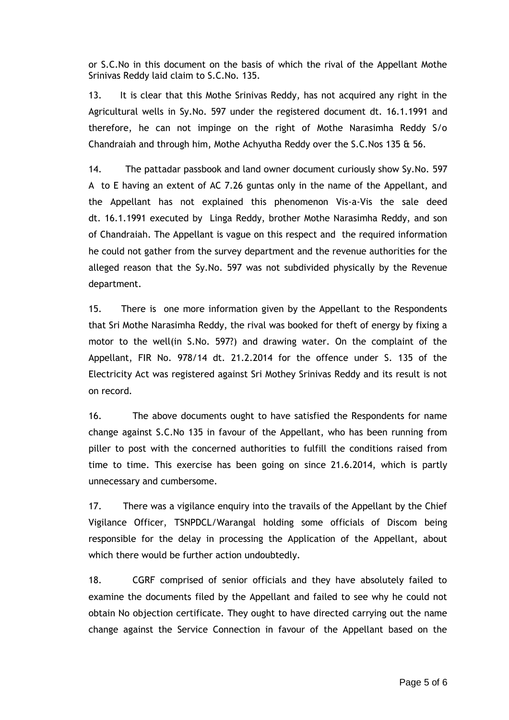or S.C.No in this document on the basis of which the rival of the Appellant Mothe Srinivas Reddy laid claim to S.C.No. 135.

13. It is clear that this Mothe Srinivas Reddy, has not acquired any right in the Agricultural wells in Sy.No. 597 under the registered document dt. 16.1.1991 and therefore, he can not impinge on the right of Mothe Narasimha Reddy S/o Chandraiah and through him, Mothe Achyutha Reddy over the S.C.Nos 135 & 56.

14. The pattadar passbook and land owner document curiously show Sy.No. 597 A to E having an extent of AC 7.26 guntas only in the name of the Appellant, and the Appellant has not explained this phenomenon Vis-a-Vis the sale deed dt. 16.1.1991 executed by Linga Reddy, brother Mothe Narasimha Reddy, and son of Chandraiah. The Appellant is vague on this respect and the required information he could not gather from the survey department and the revenue authorities for the alleged reason that the Sy.No. 597 was not subdivided physically by the Revenue department.

15. There is one more information given by the Appellant to the Respondents that Sri Mothe Narasimha Reddy, the rival was booked for theft of energy by fixing a motor to the well(in S.No. 597?) and drawing water. On the complaint of the Appellant, FIR No. 978/14 dt. 21.2.2014 for the offence under S. 135 of the Electricity Act was registered against Sri Mothey Srinivas Reddy and its result is not on record.

16. The above documents ought to have satisfied the Respondents for name change against S.C.No 135 in favour of the Appellant, who has been running from piller to post with the concerned authorities to fulfill the conditions raised from time to time. This exercise has been going on since 21.6.2014, which is partly unnecessary and cumbersome.

17. There was a vigilance enquiry into the travails of the Appellant by the Chief Vigilance Officer, TSNPDCL/Warangal holding some officials of Discom being responsible for the delay in processing the Application of the Appellant, about which there would be further action undoubtedly.

18. CGRF comprised of senior officials and they have absolutely failed to examine the documents filed by the Appellant and failed to see why he could not obtain No objection certificate. They ought to have directed carrying out the name change against the Service Connection in favour of the Appellant based on the